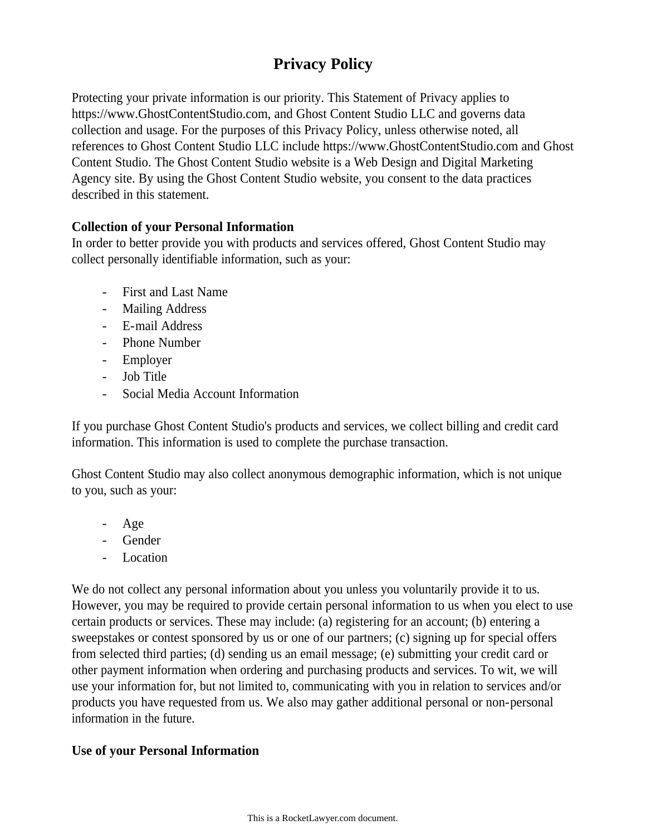# **Privacy Policy**

Protecting your private information is our priority. This Statement of Privacy applies to https://www.GhostContentStudio.com, and Ghost Content Studio LLC and governs data collection and usage. For the purposes of this Privacy Policy, unless otherwise noted, all references to Ghost Content Studio LLC include https://www.GhostContentStudio.com and Ghost Content Studio. The Ghost Content Studio website is a Web Design and Digital Marketing Agency site. By using the Ghost Content Studio website, you consent to the data practices described in this statement.

# **Collection of your Personal Information**

In order to better provide you with products and services offered, Ghost Content Studio may collect personally identifiable information, such as your:

- First and Last Name
- Mailing Address
- E-mail Address
- Phone Number
- Employer
- Job Title
- Social Media Account Information

If you purchase Ghost Content Studio's products and services, we collect billing and credit card information. This information is used to complete the purchase transaction.

Ghost Content Studio may also collect anonymous demographic information, which is not unique to you, such as your:

- Age
- Gender
- Location

We do not collect any personal information about you unless you voluntarily provide it to us. However, you may be required to provide certain personal information to us when you elect to use certain products or services. These may include: (a) registering for an account; (b) entering a sweepstakes or contest sponsored by us or one of our partners; (c) signing up for special offers from selected third parties; (d) sending us an email message; (e) submitting your credit card or other payment information when ordering and purchasing products and services. To wit, we will use your information for, but not limited to, communicating with you in relation to services and/or products you have requested from us. We also may gather additional personal or non-personal information in the future.

# **Use of your Personal Information**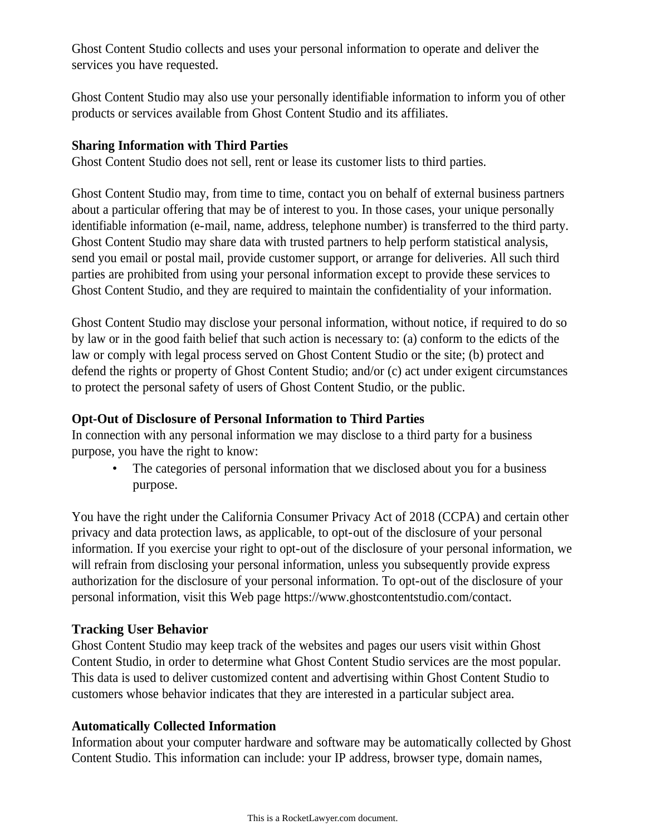Ghost Content Studio collects and uses your personal information to operate and deliver the services you have requested.

Ghost Content Studio may also use your personally identifiable information to inform you of other products or services available from Ghost Content Studio and its affiliates.

#### **Sharing Information with Third Parties**

Ghost Content Studio does not sell, rent or lease its customer lists to third parties.

Ghost Content Studio may, from time to time, contact you on behalf of external business partners about a particular offering that may be of interest to you. In those cases, your unique personally identifiable information (e-mail, name, address, telephone number) is transferred to the third party. Ghost Content Studio may share data with trusted partners to help perform statistical analysis, send you email or postal mail, provide customer support, or arrange for deliveries. All such third parties are prohibited from using your personal information except to provide these services to Ghost Content Studio, and they are required to maintain the confidentiality of your information.

Ghost Content Studio may disclose your personal information, without notice, if required to do so by law or in the good faith belief that such action is necessary to: (a) conform to the edicts of the law or comply with legal process served on Ghost Content Studio or the site; (b) protect and defend the rights or property of Ghost Content Studio; and/or (c) act under exigent circumstances to protect the personal safety of users of Ghost Content Studio, or the public.

#### **Opt-Out of Disclosure of Personal Information to Third Parties**

In connection with any personal information we may disclose to a third party for a business purpose, you have the right to know:

The categories of personal information that we disclosed about you for a business purpose.

You have the right under the California Consumer Privacy Act of 2018 (CCPA) and certain other privacy and data protection laws, as applicable, to opt-out of the disclosure of your personal information. If you exercise your right to opt-out of the disclosure of your personal information, we will refrain from disclosing your personal information, unless you subsequently provide express authorization for the disclosure of your personal information. To opt-out of the disclosure of your personal information, visit this Web page https://www.ghostcontentstudio.com/contact.

# **Tracking User Behavior**

Ghost Content Studio may keep track of the websites and pages our users visit within Ghost Content Studio, in order to determine what Ghost Content Studio services are the most popular. This data is used to deliver customized content and advertising within Ghost Content Studio to customers whose behavior indicates that they are interested in a particular subject area.

# **Automatically Collected Information**

Information about your computer hardware and software may be automatically collected by Ghost Content Studio. This information can include: your IP address, browser type, domain names,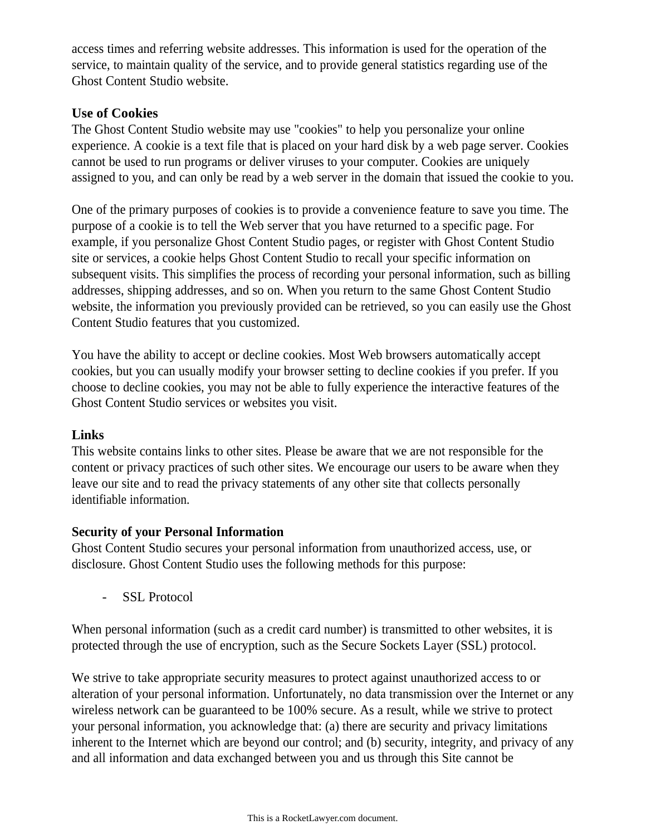access times and referring website addresses. This information is used for the operation of the service, to maintain quality of the service, and to provide general statistics regarding use of the Ghost Content Studio website.

#### **Use of Cookies**

The Ghost Content Studio website may use "cookies" to help you personalize your online experience. A cookie is a text file that is placed on your hard disk by a web page server. Cookies cannot be used to run programs or deliver viruses to your computer. Cookies are uniquely assigned to you, and can only be read by a web server in the domain that issued the cookie to you.

One of the primary purposes of cookies is to provide a convenience feature to save you time. The purpose of a cookie is to tell the Web server that you have returned to a specific page. For example, if you personalize Ghost Content Studio pages, or register with Ghost Content Studio site or services, a cookie helps Ghost Content Studio to recall your specific information on subsequent visits. This simplifies the process of recording your personal information, such as billing addresses, shipping addresses, and so on. When you return to the same Ghost Content Studio website, the information you previously provided can be retrieved, so you can easily use the Ghost Content Studio features that you customized.

You have the ability to accept or decline cookies. Most Web browsers automatically accept cookies, but you can usually modify your browser setting to decline cookies if you prefer. If you choose to decline cookies, you may not be able to fully experience the interactive features of the Ghost Content Studio services or websites you visit.

#### **Links**

This website contains links to other sites. Please be aware that we are not responsible for the content or privacy practices of such other sites. We encourage our users to be aware when they leave our site and to read the privacy statements of any other site that collects personally identifiable information.

# **Security of your Personal Information**

Ghost Content Studio secures your personal information from unauthorized access, use, or disclosure. Ghost Content Studio uses the following methods for this purpose:

- SSL Protocol

When personal information (such as a credit card number) is transmitted to other websites, it is protected through the use of encryption, such as the Secure Sockets Layer (SSL) protocol.

We strive to take appropriate security measures to protect against unauthorized access to or alteration of your personal information. Unfortunately, no data transmission over the Internet or any wireless network can be guaranteed to be 100% secure. As a result, while we strive to protect your personal information, you acknowledge that: (a) there are security and privacy limitations inherent to the Internet which are beyond our control; and (b) security, integrity, and privacy of any and all information and data exchanged between you and us through this Site cannot be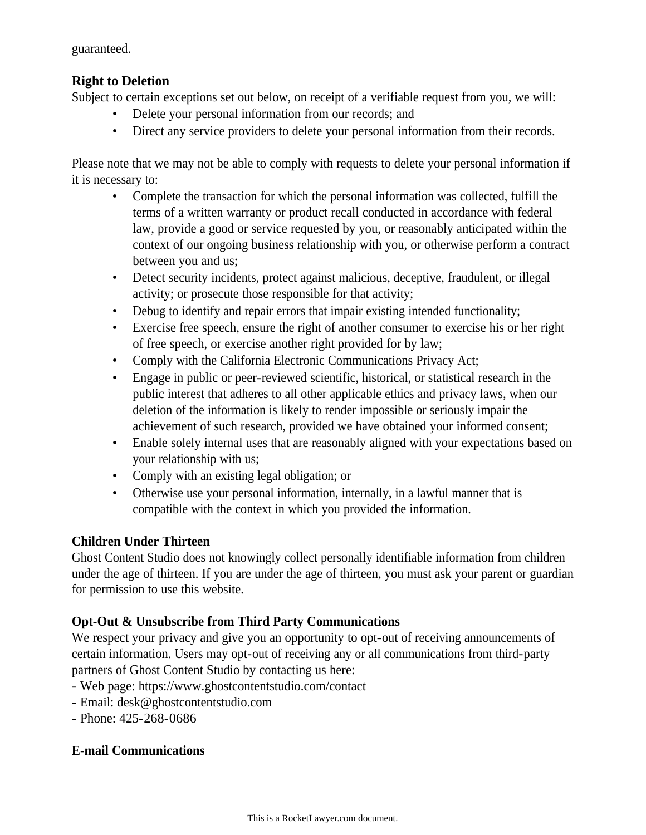guaranteed.

# **Right to Deletion**

Subject to certain exceptions set out below, on receipt of a verifiable request from you, we will:

- Delete your personal information from our records; and
- Direct any service providers to delete your personal information from their records.

Please note that we may not be able to comply with requests to delete your personal information if it is necessary to:

- Complete the transaction for which the personal information was collected, fulfill the terms of a written warranty or product recall conducted in accordance with federal law, provide a good or service requested by you, or reasonably anticipated within the context of our ongoing business relationship with you, or otherwise perform a contract between you and us;
- Detect security incidents, protect against malicious, deceptive, fraudulent, or illegal activity; or prosecute those responsible for that activity;
- Debug to identify and repair errors that impair existing intended functionality;
- Exercise free speech, ensure the right of another consumer to exercise his or her right of free speech, or exercise another right provided for by law;
- Comply with the California Electronic Communications Privacy Act;
- Engage in public or peer-reviewed scientific, historical, or statistical research in the public interest that adheres to all other applicable ethics and privacy laws, when our deletion of the information is likely to render impossible or seriously impair the achievement of such research, provided we have obtained your informed consent;
- Enable solely internal uses that are reasonably aligned with your expectations based on your relationship with us;
- Comply with an existing legal obligation; or
- Otherwise use your personal information, internally, in a lawful manner that is compatible with the context in which you provided the information.

# **Children Under Thirteen**

Ghost Content Studio does not knowingly collect personally identifiable information from children under the age of thirteen. If you are under the age of thirteen, you must ask your parent or guardian for permission to use this website.

# **Opt-Out & Unsubscribe from Third Party Communications**

We respect your privacy and give you an opportunity to opt-out of receiving announcements of certain information. Users may opt-out of receiving any or all communications from third-party partners of Ghost Content Studio by contacting us here:

- Web page: https://www.ghostcontentstudio.com/contact
- Email: desk@ghostcontentstudio.com
- Phone: 425-268-0686

# **E-mail Communications**